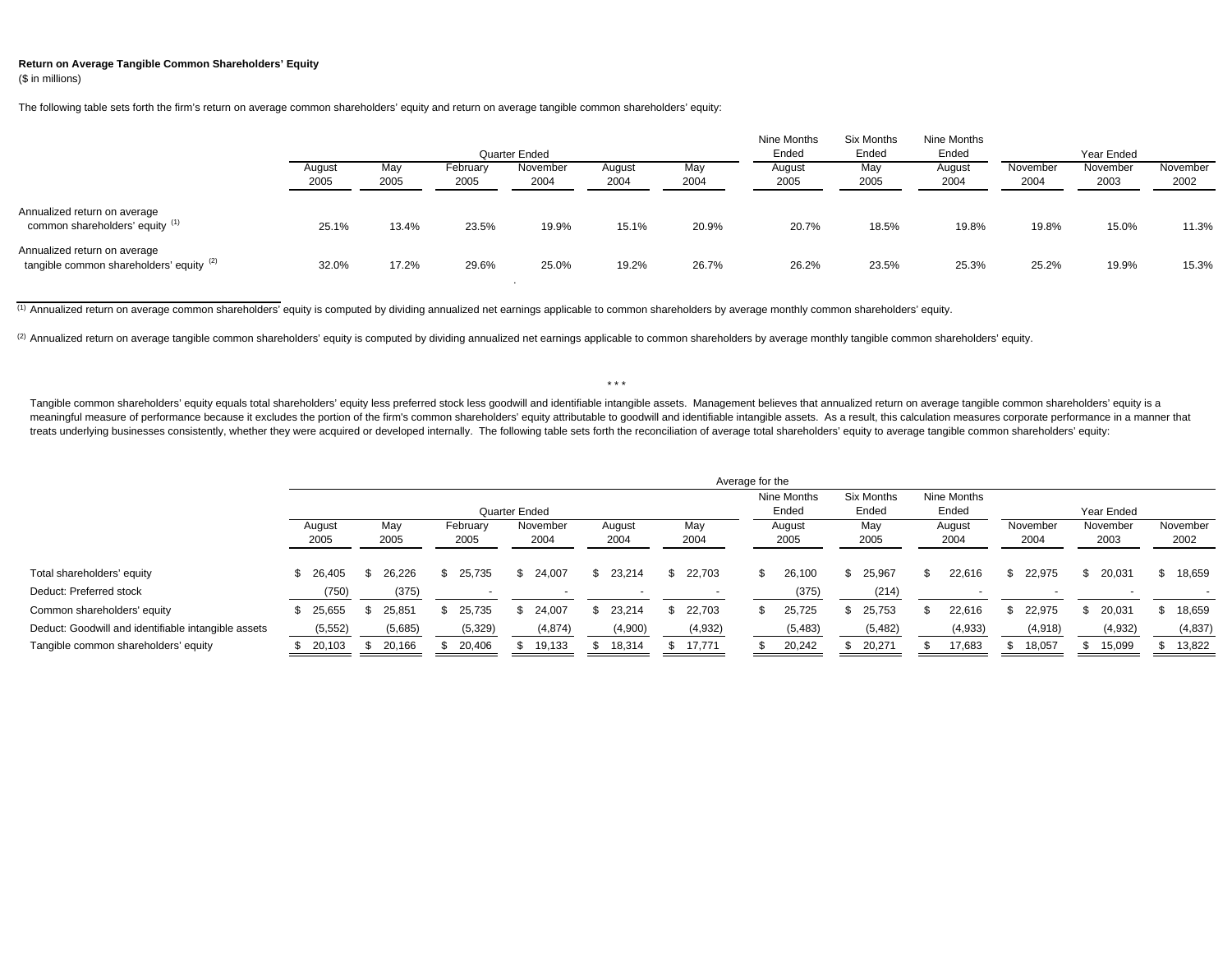## **Return on Average Tangible Common Shareholders' Equity** (\$ in millions)

The following table sets forth the firm's return on average common shareholders' equity and return on average tangible common shareholders' equity:

|                                                                          |                |             |                  | Quarter Ended    |                |             | Nine Months<br>Ended | Six Months<br>Ended | Nine Months<br>Ended |                  | Year Ended       |                  |
|--------------------------------------------------------------------------|----------------|-------------|------------------|------------------|----------------|-------------|----------------------|---------------------|----------------------|------------------|------------------|------------------|
|                                                                          | August<br>2005 | May<br>2005 | February<br>2005 | November<br>2004 | August<br>2004 | May<br>2004 | August<br>2005       | May<br>2005         | August<br>2004       | November<br>2004 | November<br>2003 | November<br>2002 |
| Annualized return on average<br>common shareholders' equity (1)          | 25.1%          | 13.4%       | 23.5%            | 19.9%            | 15.1%          | 20.9%       | 20.7%                | 18.5%               | 19.8%                | 19.8%            | 15.0%            | 11.3%            |
| Annualized return on average<br>tangible common shareholders' equity (2) | 32.0%          | 17.2%       | 29.6%            | 25.0%            | 19.2%          | 26.7%       | 26.2%                | 23.5%               | 25.3%                | 25.2%            | 19.9%            | 15.3%            |

(1) Annualized return on average common shareholders' equity is computed by dividing annualized net earnings applicable to common shareholders by average monthly common shareholders' equity.

(2) Annualized return on average tangible common shareholders' equity is computed by dividing annualized net earnings applicable to common shareholders by average monthly tangible common shareholders' equity.

\* \* \*

Tangible common shareholders' equity equals total shareholders' equity less preferred stock less goodwill and identifiable intangible assets. Management believes that annualized return on average tangible common shareholde meaningful measure of performance because it excludes the portion of the firm's common shareholders' equity attributable to goodwill and identifiable intangible assets. As a result, this calculation measures corporate perf treats underlying businesses consistently, whether they were acquired or developed internally. The following table sets forth the reconciliation of average total shareholders' equity to average tangible common shareholders

|                                                        |                   |                 |    |                  |                  |                |             | Average for the |                      |                     |                      |                  |                  |                  |
|--------------------------------------------------------|-------------------|-----------------|----|------------------|------------------|----------------|-------------|-----------------|----------------------|---------------------|----------------------|------------------|------------------|------------------|
|                                                        |                   |                 |    | Quarter Ended    |                  |                |             |                 | Nine Months<br>Ended | Six Months<br>Ended | Nine Months<br>Ended |                  | Year Ended       |                  |
|                                                        | August<br>2005    | May<br>2005     |    | February<br>2005 | November<br>2004 | August<br>2004 | May<br>2004 |                 | August<br>2005       | May<br>2005         | August<br>2004       | November<br>2004 | November<br>2003 | November<br>2002 |
| Total shareholders' equity                             | \$26,405          | 26.226          | S. | 25,735           | \$24,007         | \$23,214       | \$22,703    | \$              | 26,100               | 25,967              | 22,616               | 22,975           | 20,031           | 18,659           |
| Deduct: Preferred stock<br>Common shareholders' equity | (750)<br>\$25,655 | (375)<br>25,851 | S. | 25,735           | 24,007           | 23,214         | 22,703      | SS.             | (375)<br>25,725      | (214)<br>25,753     | 22,616               | 22,975           | 20,031           | 18,659           |
| Deduct: Goodwill and identifiable intangible assets    | (5, 552)          | (5,685)         |    | (5, 329)         | (4,874)          | (4,900)        | (4,932)     |                 | (5,483)              | (5, 482)            | (4,933)              | (4,918)          | (4,932)          | (4,837)          |
| Tangible common shareholders' equity                   | 20,103            | 20,166          |    | 20,406           | 19,133           | 18,314         | 17,771      |                 | 20,242               | 20,271              | 17,683               | 18,057           | 15,099           | 13,822           |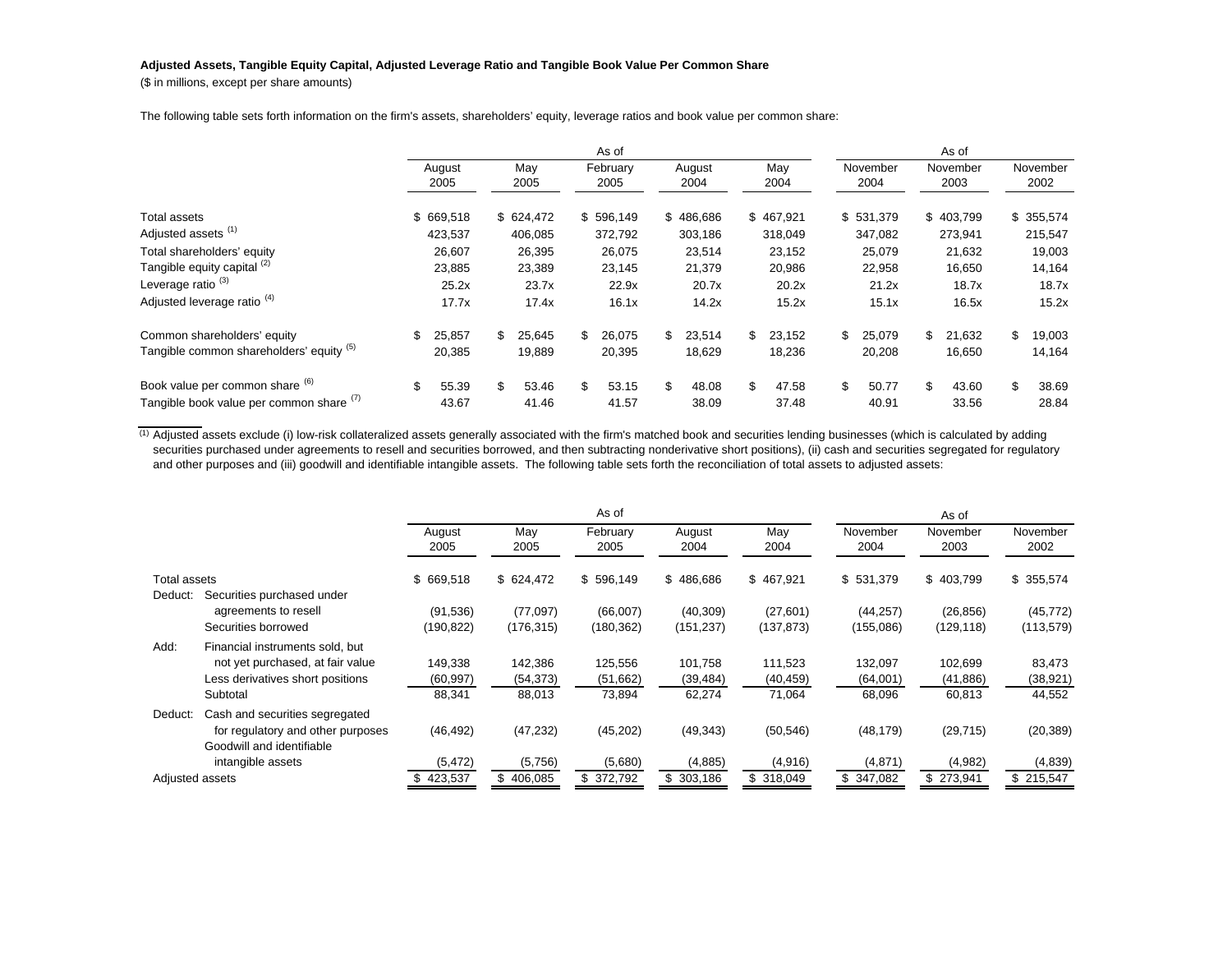## **Adjusted Assets, Tangible Equity Capital, Adjusted Leverage Ratio and Tangible Book Value Per Common Share**

(\$ in millions, except per share amounts)

The following table sets forth information on the firm's assets, shareholders' equity, leverage ratios and book value per common share:

|                                          |                |              |              | As of            |                |              |                  | As of            |                  |
|------------------------------------------|----------------|--------------|--------------|------------------|----------------|--------------|------------------|------------------|------------------|
|                                          | August<br>2005 | May<br>2005  |              | February<br>2005 | August<br>2004 | May<br>2004  | November<br>2004 | November<br>2003 | November<br>2002 |
| Total assets                             | \$669,518      | \$624,472    |              | \$596,149        | \$486,686      | \$467,921    | \$531,379        | \$403,799        | \$355,574        |
| Adjusted assets <sup>(1)</sup>           | 423,537        | 406,085      |              | 372,792          | 303,186        | 318,049      | 347,082          | 273,941          | 215,547          |
| Total shareholders' equity               | 26,607         | 26,395       |              | 26,075           | 23,514         | 23,152       | 25,079           | 21,632           | 19,003           |
| Tangible equity capital (2)              | 23,885         | 23,389       |              | 23,145           | 21,379         | 20,986       | 22,958           | 16,650           | 14,164           |
| Leverage ratio <sup>(3)</sup>            | 25.2x          | 23.7x        |              | 22.9x            | 20.7x          | 20.2x        | 21.2x            | 18.7x            | 18.7x            |
| Adjusted leverage ratio <sup>(4)</sup>   | 17.7x          | 17.4x        |              | 16.1x            | 14.2x          | 15.2x        | 15.1x            | 16.5x            | 15.2x            |
| Common shareholders' equity              | \$<br>25,857   | \$<br>25,645 | $\mathbb{S}$ | 26,075           | \$<br>23,514   | \$<br>23,152 | \$<br>25,079     | \$<br>21,632     | \$<br>19,003     |
| Tangible common shareholders' equity (5) | 20,385         | 19,889       |              | 20,395           | 18,629         | 18,236       | 20,208           | 16,650           | 14,164           |
| Book value per common share (6)          | \$<br>55.39    | \$<br>53.46  | \$           | 53.15            | \$<br>48.08    | \$<br>47.58  | \$<br>50.77      | \$<br>43.60      | \$<br>38.69      |
| Tangible book value per common share (1) | 43.67          | 41.46        |              | 41.57            | 38.09          | 37.48        | 40.91            | 33.56            | 28.84            |

 $^{(1)}$  Adjusted assets exclude (i) low-risk collateralized assets generally associated with the firm's matched book and securities lending businesses (which is calculated by adding securities purchased under agreements to resell and securities borrowed, and then subtracting nonderivative short positions), (ii) cash and securities segregated for regulatory and other purposes and (iii) goodwill and identifiable intangible assets. The following table sets forth the reconciliation of total assets to adjusted assets:

|                 |                                                                                                         |                        |                        | As of                  |                         |                         |                        | As of                   |                         |
|-----------------|---------------------------------------------------------------------------------------------------------|------------------------|------------------------|------------------------|-------------------------|-------------------------|------------------------|-------------------------|-------------------------|
|                 |                                                                                                         | August<br>2005         | May<br>2005            | February<br>2005       | August<br>2004          | May<br>2004             | November<br>2004       | November<br>2003        | November<br>2002        |
| Total assets    |                                                                                                         | \$669,518              | \$624,472              | \$596,149              | \$486,686               | \$467,921               | \$531,379              | \$403,799               | \$355,574               |
| Deduct:         | Securities purchased under<br>agreements to resell<br>Securities borrowed                               | (91, 536)<br>(190,822) | (77,097)<br>(176, 315) | (66,007)<br>(180, 362) | (40, 309)<br>(151, 237) | (27, 601)<br>(137, 873) | (44, 257)<br>(155,086) | (26, 856)<br>(129, 118) | (45, 772)<br>(113, 579) |
| Add:            | Financial instruments sold, but<br>not yet purchased, at fair value<br>Less derivatives short positions | 149,338<br>(60, 997)   | 142,386<br>(54, 373)   | 125,556<br>(51,662)    | 101,758<br>(39, 484)    | 111,523<br>(40, 459)    | 132,097<br>(64,001)    | 102,699<br>(41, 886)    | 83,473<br>(38, 921)     |
| Deduct:         | Subtotal<br>Cash and securities segregated<br>for regulatory and other purposes                         | 88,341<br>(46, 492)    | 88,013<br>(47, 232)    | 73,894<br>(45, 202)    | 62,274<br>(49, 343)     | 71,064<br>(50, 546)     | 68,096<br>(48, 179)    | 60,813<br>(29, 715)     | 44,552<br>(20, 389)     |
|                 | Goodwill and identifiable<br>intangible assets                                                          | (5, 472)               | (5,756)                | (5,680)                | (4,885)                 | (4,916)                 | (4,871)                | (4,982)                 | (4,839)                 |
| Adjusted assets |                                                                                                         | 423,537                | \$406,085              | \$372,792              | \$303,186               | \$318,049               | \$ 347.082             | \$273,941               | \$215,547               |